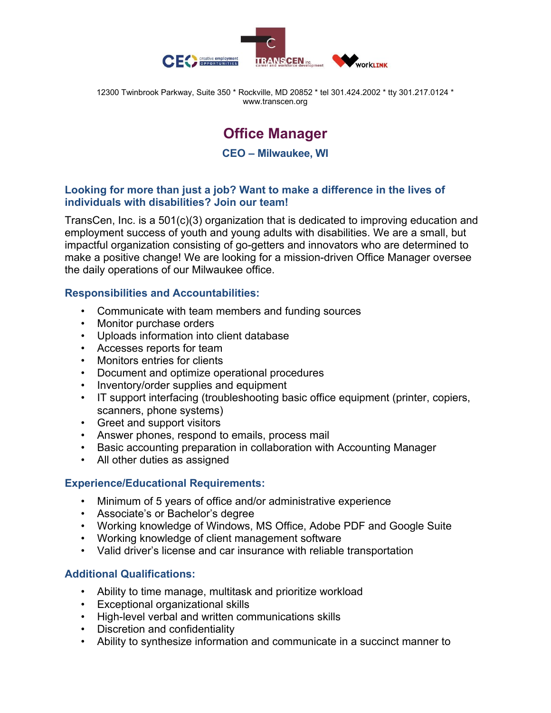

12300 Twinbrook Parkway, Suite 350 \* Rockville, MD 20852 \* tel 301.424.2002 \* tty 301.217.0124 \* www.transcen.org

# **Office Manager**

**CEO – Milwaukee, WI**

#### **Looking for more than just a job? Want to make a difference in the lives of individuals with disabilities? Join our team!**

TransCen, Inc. is a 501(c)(3) organization that is dedicated to improving education and employment success of youth and young adults with disabilities. We are a small, but impactful organization consisting of go-getters and innovators who are determined to make a positive change! We are looking for a mission-driven Office Manager oversee the daily operations of our Milwaukee office.

#### **Responsibilities and Accountabilities:**

- Communicate with team members and funding sources
- Monitor purchase orders
- Uploads information into client database
- Accesses reports for team
- Monitors entries for clients
- Document and optimize operational procedures
- Inventory/order supplies and equipment
- IT support interfacing (troubleshooting basic office equipment (printer, copiers, scanners, phone systems)
- Greet and support visitors
- Answer phones, respond to emails, process mail
- Basic accounting preparation in collaboration with Accounting Manager
- All other duties as assigned

## **Experience/Educational Requirements:**

- Minimum of 5 years of office and/or administrative experience
- Associate's or Bachelor's degree
- Working knowledge of Windows, MS Office, Adobe PDF and Google Suite
- Working knowledge of client management software
- Valid driver's license and car insurance with reliable transportation

## **Additional Qualifications:**

- Ability to time manage, multitask and prioritize workload
- Exceptional organizational skills
- High-level verbal and written communications skills
- Discretion and confidentiality
- Ability to synthesize information and communicate in a succinct manner to